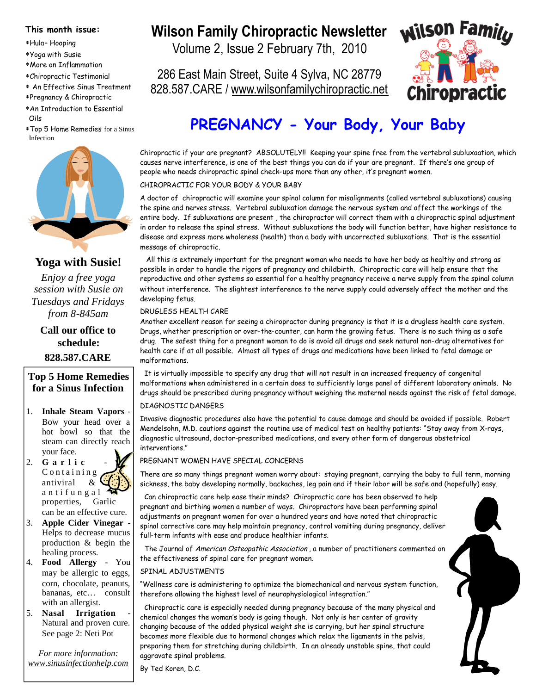#### **This month issue:**

- Hula– Hooping
- Yoga with Susie
- More on Inflammation
- Chiropractic Testimonial
- An Effective Sinus Treatment
- Pregnancy & Chiropractic
- An Introduction to Essential Oils
- Top 5 Home Remedies for a Sinus Infection



### **Yoga with Susie!**

*Enjoy a free yoga session with Susie on Tuesdays and Fridays from 8-845am*

**Call our office to schedule: 828.587.CARE**

### **Top 5 Home Remedies for a Sinus Infection**

- 1. **Inhale Steam Vapors** Bow your head over a hot bowl so that the steam can directly reach your face.
- 2. **G a r l i c** C o n t a i n i n g antiviral & a n t i f u n g a l properties, Garlic can be an effective cure.
- 3. **Apple Cider Vinegar** Helps to decrease mucus production & begin the healing process.
- 4. **Food Allergy** You may be allergic to eggs, corn, chocolate, peanuts, bananas, etc… consult with an allergist.
- 5. **Nasal Irrigation** Natural and proven cure. See page 2: Neti Pot

*For more information: www.sinusinfectionhelp.com*

# Wilson Family Chiropractic Newsletter **Wilson Familly**

Volume 2, Issue 2 February 7th, 2010

286 East Main Street, Suite 4 Sylva, NC 28779 828.587.CARE / www.wilsonfamilychiropractic.net



# **PREGNANCY - Your Body, Your Baby**

Chiropractic if your are pregnant? ABSOLUTELY!! Keeping your spine free from the vertebral subluxaation, which causes nerve interference, is one of the best things you can do if your are pregnant. If there's one group of people who needs chiropractic spinal check-ups more than any other, it's pregnant women.

CHIROPRACTIC FOR YOUR BODY & YOUR BABY

A doctor of chiropractic will examine your spinal column for misalignments (called vertebral subluxations) causing the spine and nerves stress. Vertebral subluxation damage the nervous system and affect the workings of the entire body. If subluxations are present , the chiropractor will correct them with a chiropractic spinal adjustment in order to release the spinal stress. Without subluxations the body will function better, have higher resistance to disease and express more wholeness (health) than a body with uncorrected subluxations. That is the essential message of chiropractic.

All this is extremely important for the pregnant woman who needs to have her body as healthy and strong as possible in order to handle the rigors of pregnancy and childbirth. Chiropractic care will help ensure that the reproductive and other systems so essential for a healthy pregnancy receive a nerve supply from the spinal column without interference. The slightest interference to the nerve supply could adversely affect the mother and the developing fetus.

#### DRUGLESS HEALTH CARE

Another excellent reason for seeing a chiropractor during pregnancy is that it is a drugless health care system. Drugs, whether prescription or over-the-counter, can harm the growing fetus. There is no such thing as a safe drug. The safest thing for a pregnant woman to do is avoid all drugs and seek natural non-drug alternatives for health care if at all possible. Almost all types of drugs and medications have been linked to fetal damage or malformations.

It is virtually impossible to specify any drug that will not result in an increased frequency of congenital malformations when administered in a certain does to sufficiently large panel of different laboratory animals. No drugs should be prescribed during pregnancy without weighing the maternal needs against the risk of fetal damage.

#### DIAGNOSTIC DANGERS

Invasive diagnostic procedures also have the potential to cause damage and should be avoided if possible. Robert Mendelsohn, M.D. cautions against the routine use of medical test on healthy patients: "Stay away from X-rays, diagnostic ultrasound, doctor-prescribed medications, and every other form of dangerous obstetrical interventions."

#### PREGNANT WOMEN HAVE SPECIAL CONCERNS

There are so many things pregnant women worry about: staying pregnant, carrying the baby to full term, morning sickness, the baby developing normally, backaches, leg pain and if their labor will be safe and (hopefully) easy.

Can chiropractic care help ease their minds? Chiropractic care has been observed to help pregnant and birthing women a number of ways. Chiropractors have been performing spinal adjustments on pregnant women for over a hundred years and have noted that chiropractic spinal corrective care may help maintain pregnancy, control vomiting during pregnancy, deliver full-term infants with ease and produce healthier infants.

The Journal of American Osteopathic Association, a number of practitioners commented on the effectiveness of spinal care for pregnant women.

#### SPINAL ADJUSTMENTS

"Wellness care is administering to optimize the biomechanical and nervous system function, therefore allowing the highest level of neurophysiological integration."

Chiropractic care is especially needed during pregnancy because of the many physical and chemical changes the woman's body is going though. Not only is her center of gravity changing because of the added physical weight she is carrying, but her spinal structure becomes more flexible due to hormonal changes which relax the ligaments in the pelvis, preparing them for stretching during childbirth. In an already unstable spine, that could aggravate spinal problems.

By Ted Koren, D.C.